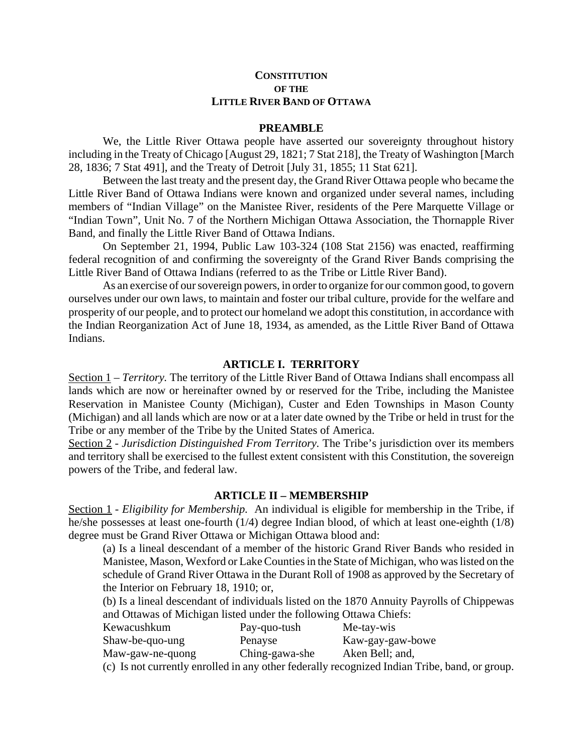#### **CONSTITUTION OF THE LITTLE RIVER BAND OF OTTAWA**

#### **PREAMBLE**

We, the Little River Ottawa people have asserted our sovereignty throughout history including in the Treaty of Chicago [August 29, 1821; 7 Stat 218], the Treaty of Washington [March 28, 1836; 7 Stat 491], and the Treaty of Detroit [July 31, 1855; 11 Stat 621].

Between the last treaty and the present day, the Grand River Ottawa people who became the Little River Band of Ottawa Indians were known and organized under several names, including members of "Indian Village" on the Manistee River, residents of the Pere Marquette Village or "Indian Town", Unit No. 7 of the Northern Michigan Ottawa Association, the Thornapple River Band, and finally the Little River Band of Ottawa Indians.

On September 21, 1994, Public Law 103-324 (108 Stat 2156) was enacted, reaffirming federal recognition of and confirming the sovereignty of the Grand River Bands comprising the Little River Band of Ottawa Indians (referred to as the Tribe or Little River Band).

As an exercise of our sovereign powers, in order to organize for our common good, to govern ourselves under our own laws, to maintain and foster our tribal culture, provide for the welfare and prosperity of our people, and to protect our homeland we adopt this constitution, in accordance with the Indian Reorganization Act of June 18, 1934, as amended, as the Little River Band of Ottawa Indians.

#### **ARTICLE I. TERRITORY**

Section 1 – *Territory.* The territory of the Little River Band of Ottawa Indians shall encompass all lands which are now or hereinafter owned by or reserved for the Tribe, including the Manistee Reservation in Manistee County (Michigan), Custer and Eden Townships in Mason County (Michigan) and all lands which are now or at a later date owned by the Tribe or held in trust for the Tribe or any member of the Tribe by the United States of America.

Section 2 - *Jurisdiction Distinguished From Territory.* The Tribe's jurisdiction over its members and territory shall be exercised to the fullest extent consistent with this Constitution, the sovereign powers of the Tribe, and federal law.

#### **ARTICLE II – MEMBERSHIP**

Section 1 - *Eligibility for Membership.* An individual is eligible for membership in the Tribe, if he/she possesses at least one-fourth (1/4) degree Indian blood, of which at least one-eighth (1/8) degree must be Grand River Ottawa or Michigan Ottawa blood and:

(a) Is a lineal descendant of a member of the historic Grand River Bands who resided in Manistee, Mason, Wexford or Lake Counties in the State of Michigan, who was listed on the schedule of Grand River Ottawa in the Durant Roll of 1908 as approved by the Secretary of the Interior on February 18, 1910; or,

(b) Is a lineal descendant of individuals listed on the 1870 Annuity Payrolls of Chippewas and Ottawas of Michigan listed under the following Ottawa Chiefs:

| Kewacushkum           | Pay-quo-tush               | Me-tay-wis                 |
|-----------------------|----------------------------|----------------------------|
| Shaw-be-quo-ung       | Penayse                    | Kaw-gay-gaw-bowe           |
| Maw-gaw-ne-quong      | Ching-gawa-she             | Aken Bell; and,            |
| $\sqrt{1}$ $\sqrt{1}$ | $\cdots$ $\cdots$ $\cdots$ | $\cdot$ 1 $\tau$ 1 $\cdot$ |

(c) Is not currently enrolled in any other federally recognized Indian Tribe, band, or group.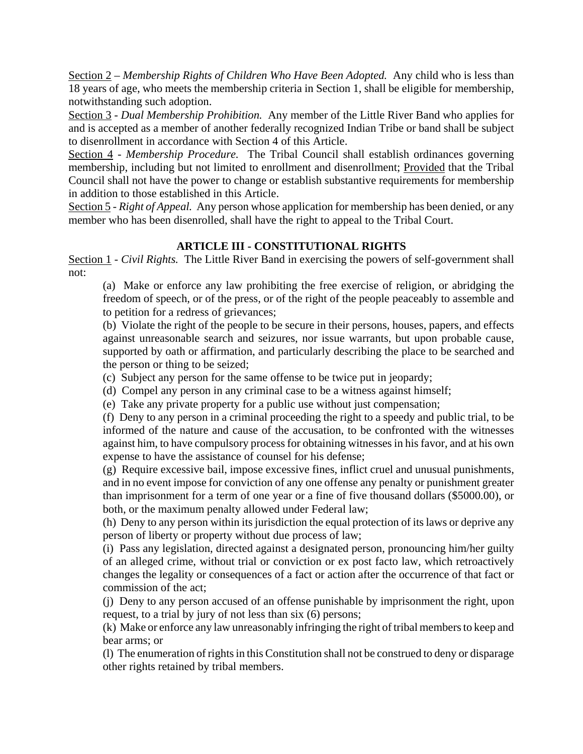Section 2 – *Membership Rights of Children Who Have Been Adopted.* Any child who is less than 18 years of age, who meets the membership criteria in Section 1, shall be eligible for membership, notwithstanding such adoption.

Section 3 - *Dual Membership Prohibition.* Any member of the Little River Band who applies for and is accepted as a member of another federally recognized Indian Tribe or band shall be subject to disenrollment in accordance with Section 4 of this Article.

Section 4 - *Membership Procedure.* The Tribal Council shall establish ordinances governing membership, including but not limited to enrollment and disenrollment; Provided that the Tribal Council shall not have the power to change or establish substantive requirements for membership in addition to those established in this Article.

Section 5 - *Right of Appeal.* Any person whose application for membership has been denied, or any member who has been disenrolled, shall have the right to appeal to the Tribal Court.

# **ARTICLE III - CONSTITUTIONAL RIGHTS**

Section 1 - *Civil Rights.* The Little River Band in exercising the powers of self-government shall not:

(a) Make or enforce any law prohibiting the free exercise of religion, or abridging the freedom of speech, or of the press, or of the right of the people peaceably to assemble and to petition for a redress of grievances;

(b) Violate the right of the people to be secure in their persons, houses, papers, and effects against unreasonable search and seizures, nor issue warrants, but upon probable cause, supported by oath or affirmation, and particularly describing the place to be searched and the person or thing to be seized;

(c) Subject any person for the same offense to be twice put in jeopardy;

(d) Compel any person in any criminal case to be a witness against himself;

(e) Take any private property for a public use without just compensation;

(f) Deny to any person in a criminal proceeding the right to a speedy and public trial, to be informed of the nature and cause of the accusation, to be confronted with the witnesses against him, to have compulsory process for obtaining witnesses in his favor, and at his own expense to have the assistance of counsel for his defense;

(g) Require excessive bail, impose excessive fines, inflict cruel and unusual punishments, and in no event impose for conviction of any one offense any penalty or punishment greater than imprisonment for a term of one year or a fine of five thousand dollars (\$5000.00), or both, or the maximum penalty allowed under Federal law;

(h) Deny to any person within its jurisdiction the equal protection of its laws or deprive any person of liberty or property without due process of law;

(i) Pass any legislation, directed against a designated person, pronouncing him/her guilty of an alleged crime, without trial or conviction or ex post facto law, which retroactively changes the legality or consequences of a fact or action after the occurrence of that fact or commission of the act;

(j) Deny to any person accused of an offense punishable by imprisonment the right, upon request, to a trial by jury of not less than six (6) persons;

(k) Make or enforce any law unreasonably infringing the right of tribal members to keep and bear arms; or

(l) The enumeration of rights in this Constitution shall not be construed to deny or disparage other rights retained by tribal members.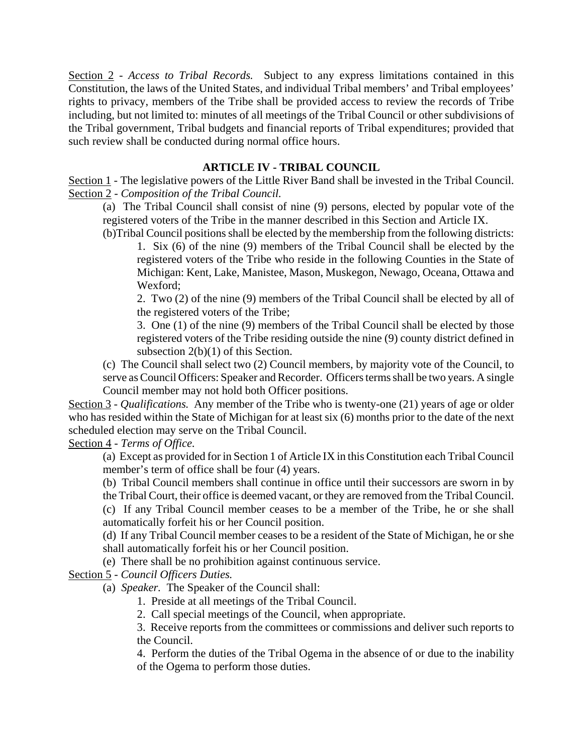Section 2 - *Access to Tribal Records.* Subject to any express limitations contained in this Constitution, the laws of the United States, and individual Tribal members' and Tribal employees' rights to privacy, members of the Tribe shall be provided access to review the records of Tribe including, but not limited to: minutes of all meetings of the Tribal Council or other subdivisions of the Tribal government, Tribal budgets and financial reports of Tribal expenditures; provided that such review shall be conducted during normal office hours.

## **ARTICLE IV - TRIBAL COUNCIL**

Section 1 - The legislative powers of the Little River Band shall be invested in the Tribal Council. Section 2 - *Composition of the Tribal Council.*

(a) The Tribal Council shall consist of nine (9) persons, elected by popular vote of the registered voters of the Tribe in the manner described in this Section and Article IX.

(b)Tribal Council positions shall be elected by the membership from the following districts: 1. Six (6) of the nine (9) members of the Tribal Council shall be elected by the registered voters of the Tribe who reside in the following Counties in the State of Michigan: Kent, Lake, Manistee, Mason, Muskegon, Newago, Oceana, Ottawa and Wexford;

2. Two (2) of the nine (9) members of the Tribal Council shall be elected by all of the registered voters of the Tribe;

3. One (1) of the nine (9) members of the Tribal Council shall be elected by those registered voters of the Tribe residing outside the nine (9) county district defined in subsection 2(b)(1) of this Section.

(c) The Council shall select two (2) Council members, by majority vote of the Council, to serve as Council Officers: Speaker and Recorder. Officers terms shall be two years. A single Council member may not hold both Officer positions.

Section 3 - *Qualifications.* Any member of the Tribe who is twenty-one (21) years of age or older who has resided within the State of Michigan for at least six (6) months prior to the date of the next scheduled election may serve on the Tribal Council.

Section 4 - *Terms of Office.*

(a) Except as provided for in Section 1 of Article IX in this Constitution each Tribal Council member's term of office shall be four (4) years.

(b) Tribal Council members shall continue in office until their successors are sworn in by the Tribal Court, their office is deemed vacant, or they are removed from the Tribal Council.

(c) If any Tribal Council member ceases to be a member of the Tribe, he or she shall automatically forfeit his or her Council position.

(d) If any Tribal Council member ceases to be a resident of the State of Michigan, he or she shall automatically forfeit his or her Council position.

(e) There shall be no prohibition against continuous service.

Section 5 - *Council Officers Duties.*

(a) *Speaker.* The Speaker of the Council shall:

1. Preside at all meetings of the Tribal Council.

2. Call special meetings of the Council, when appropriate.

3. Receive reports from the committees or commissions and deliver such reports to the Council.

4. Perform the duties of the Tribal Ogema in the absence of or due to the inability of the Ogema to perform those duties.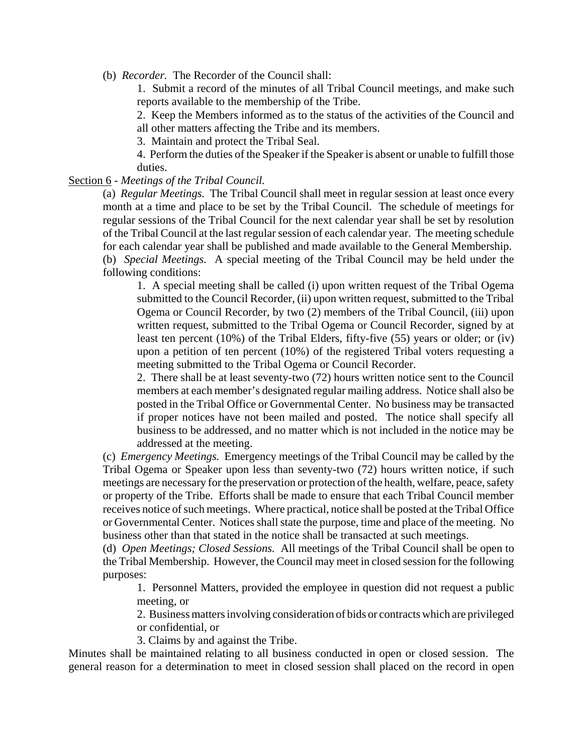(b) *Recorder.* The Recorder of the Council shall:

1. Submit a record of the minutes of all Tribal Council meetings, and make such reports available to the membership of the Tribe.

2. Keep the Members informed as to the status of the activities of the Council and all other matters affecting the Tribe and its members.

3. Maintain and protect the Tribal Seal.

4. Perform the duties of the Speaker if the Speaker is absent or unable to fulfill those duties.

#### Section 6 - *Meetings of the Tribal Council.*

(a) *Regular Meetings.* The Tribal Council shall meet in regular session at least once every month at a time and place to be set by the Tribal Council. The schedule of meetings for regular sessions of the Tribal Council for the next calendar year shall be set by resolution of the Tribal Council at the last regular session of each calendar year. The meeting schedule for each calendar year shall be published and made available to the General Membership. (b) *Special Meetings.* A special meeting of the Tribal Council may be held under the following conditions:

1. A special meeting shall be called (i) upon written request of the Tribal Ogema submitted to the Council Recorder, (ii) upon written request, submitted to the Tribal Ogema or Council Recorder, by two (2) members of the Tribal Council, (iii) upon written request, submitted to the Tribal Ogema or Council Recorder, signed by at least ten percent (10%) of the Tribal Elders, fifty-five (55) years or older; or (iv) upon a petition of ten percent (10%) of the registered Tribal voters requesting a meeting submitted to the Tribal Ogema or Council Recorder.

2. There shall be at least seventy-two (72) hours written notice sent to the Council members at each member's designated regular mailing address. Notice shall also be posted in the Tribal Office or Governmental Center. No business may be transacted if proper notices have not been mailed and posted. The notice shall specify all business to be addressed, and no matter which is not included in the notice may be addressed at the meeting.

(c) *Emergency Meetings.* Emergency meetings of the Tribal Council may be called by the Tribal Ogema or Speaker upon less than seventy-two (72) hours written notice, if such meetings are necessary for the preservation or protection of the health, welfare, peace, safety or property of the Tribe. Efforts shall be made to ensure that each Tribal Council member receives notice of such meetings. Where practical, notice shall be posted at the Tribal Office or Governmental Center. Notices shall state the purpose, time and place of the meeting. No business other than that stated in the notice shall be transacted at such meetings.

(d) *Open Meetings; Closed Sessions.* All meetings of the Tribal Council shall be open to the Tribal Membership. However, the Council may meet in closed session for the following purposes:

1. Personnel Matters, provided the employee in question did not request a public meeting, or

2. Business matters involving consideration of bids or contracts which are privileged or confidential, or

3. Claims by and against the Tribe.

Minutes shall be maintained relating to all business conducted in open or closed session. The general reason for a determination to meet in closed session shall placed on the record in open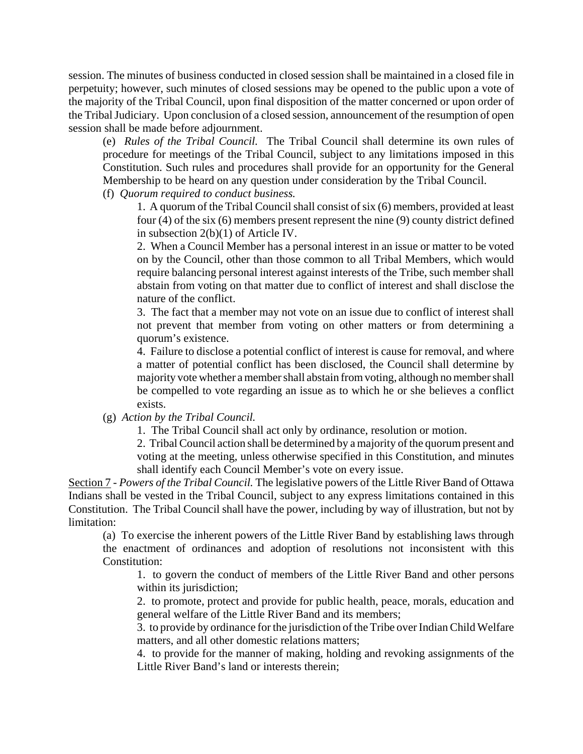session. The minutes of business conducted in closed session shall be maintained in a closed file in perpetuity; however, such minutes of closed sessions may be opened to the public upon a vote of the majority of the Tribal Council, upon final disposition of the matter concerned or upon order of the Tribal Judiciary. Upon conclusion of a closed session, announcement of the resumption of open session shall be made before adjournment.

(e) *Rules of the Tribal Council.* The Tribal Council shall determine its own rules of procedure for meetings of the Tribal Council, subject to any limitations imposed in this Constitution. Such rules and procedures shall provide for an opportunity for the General Membership to be heard on any question under consideration by the Tribal Council.

(f) *Quorum required to conduct business.*

1. A quorum of the Tribal Council shall consist of six (6) members, provided at least four (4) of the six (6) members present represent the nine (9) county district defined in subsection 2(b)(1) of Article IV.

2. When a Council Member has a personal interest in an issue or matter to be voted on by the Council, other than those common to all Tribal Members, which would require balancing personal interest against interests of the Tribe, such member shall abstain from voting on that matter due to conflict of interest and shall disclose the nature of the conflict.

3. The fact that a member may not vote on an issue due to conflict of interest shall not prevent that member from voting on other matters or from determining a quorum's existence.

4. Failure to disclose a potential conflict of interest is cause for removal, and where a matter of potential conflict has been disclosed, the Council shall determine by majority vote whether a member shall abstain from voting, although no member shall be compelled to vote regarding an issue as to which he or she believes a conflict exists.

(g) *Action by the Tribal Council.*

1. The Tribal Council shall act only by ordinance, resolution or motion.

2. Tribal Council action shall be determined by a majority of the quorum present and voting at the meeting, unless otherwise specified in this Constitution, and minutes shall identify each Council Member's vote on every issue.

Section 7 - *Powers of the Tribal Council.* The legislative powers of the Little River Band of Ottawa Indians shall be vested in the Tribal Council, subject to any express limitations contained in this Constitution. The Tribal Council shall have the power, including by way of illustration, but not by limitation:

(a) To exercise the inherent powers of the Little River Band by establishing laws through the enactment of ordinances and adoption of resolutions not inconsistent with this Constitution:

1. to govern the conduct of members of the Little River Band and other persons within its jurisdiction;

2. to promote, protect and provide for public health, peace, morals, education and general welfare of the Little River Band and its members;

3. to provide by ordinance for the jurisdiction of the Tribe over Indian Child Welfare matters, and all other domestic relations matters;

4. to provide for the manner of making, holding and revoking assignments of the Little River Band's land or interests therein;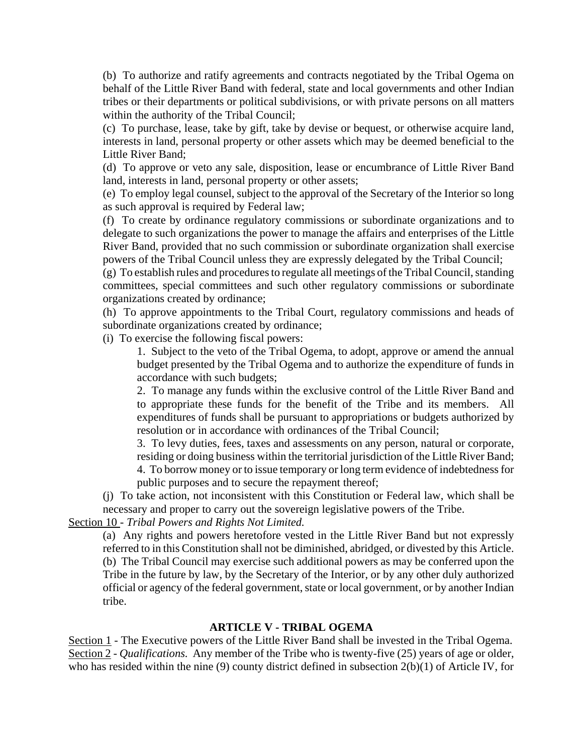(b) To authorize and ratify agreements and contracts negotiated by the Tribal Ogema on behalf of the Little River Band with federal, state and local governments and other Indian tribes or their departments or political subdivisions, or with private persons on all matters within the authority of the Tribal Council;

(c) To purchase, lease, take by gift, take by devise or bequest, or otherwise acquire land, interests in land, personal property or other assets which may be deemed beneficial to the Little River Band;

(d) To approve or veto any sale, disposition, lease or encumbrance of Little River Band land, interests in land, personal property or other assets;

(e) To employ legal counsel, subject to the approval of the Secretary of the Interior so long as such approval is required by Federal law;

(f) To create by ordinance regulatory commissions or subordinate organizations and to delegate to such organizations the power to manage the affairs and enterprises of the Little River Band, provided that no such commission or subordinate organization shall exercise powers of the Tribal Council unless they are expressly delegated by the Tribal Council;

(g) To establish rules and procedures to regulate all meetings of the Tribal Council, standing committees, special committees and such other regulatory commissions or subordinate organizations created by ordinance;

(h) To approve appointments to the Tribal Court, regulatory commissions and heads of subordinate organizations created by ordinance;

(i) To exercise the following fiscal powers:

1. Subject to the veto of the Tribal Ogema, to adopt, approve or amend the annual budget presented by the Tribal Ogema and to authorize the expenditure of funds in accordance with such budgets;

2. To manage any funds within the exclusive control of the Little River Band and to appropriate these funds for the benefit of the Tribe and its members. All expenditures of funds shall be pursuant to appropriations or budgets authorized by resolution or in accordance with ordinances of the Tribal Council;

3. To levy duties, fees, taxes and assessments on any person, natural or corporate, residing or doing business within the territorial jurisdiction of the Little River Band; 4. To borrow money or to issue temporary or long term evidence of indebtedness for public purposes and to secure the repayment thereof;

(j) To take action, not inconsistent with this Constitution or Federal law, which shall be necessary and proper to carry out the sovereign legislative powers of the Tribe.

Section 10 - *Tribal Powers and Rights Not Limited.*

(a) Any rights and powers heretofore vested in the Little River Band but not expressly referred to in this Constitution shall not be diminished, abridged, or divested by this Article. (b) The Tribal Council may exercise such additional powers as may be conferred upon the Tribe in the future by law, by the Secretary of the Interior, or by any other duly authorized official or agency of the federal government, state or local government, or by another Indian tribe.

## **ARTICLE V - TRIBAL OGEMA**

Section 1 - The Executive powers of the Little River Band shall be invested in the Tribal Ogema. Section 2 - *Qualifications.* Any member of the Tribe who is twenty-five (25) years of age or older, who has resided within the nine (9) county district defined in subsection 2(b)(1) of Article IV, for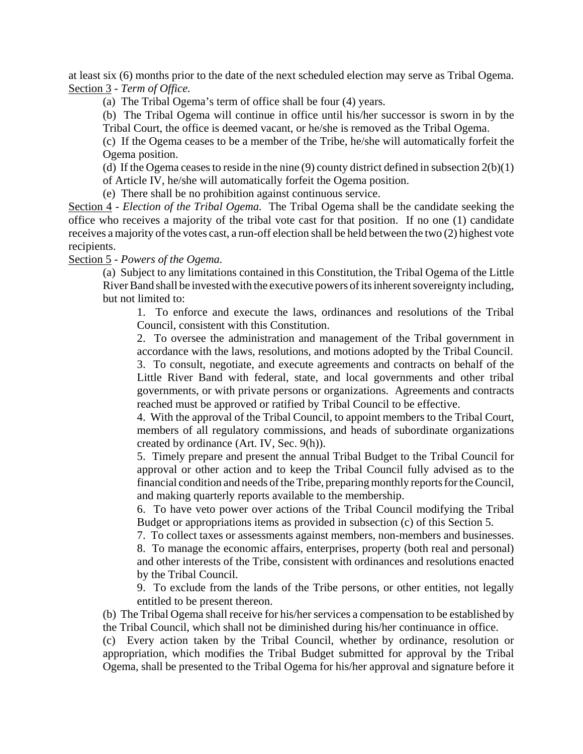at least six (6) months prior to the date of the next scheduled election may serve as Tribal Ogema. Section 3 - *Term of Office.*

(a) The Tribal Ogema's term of office shall be four (4) years.

(b) The Tribal Ogema will continue in office until his/her successor is sworn in by the Tribal Court, the office is deemed vacant, or he/she is removed as the Tribal Ogema.

(c) If the Ogema ceases to be a member of the Tribe, he/she will automatically forfeit the Ogema position.

(d) If the Ogema ceases to reside in the nine  $(9)$  county district defined in subsection  $2(b)(1)$ of Article IV, he/she will automatically forfeit the Ogema position.

(e) There shall be no prohibition against continuous service.

Section 4 - *Election of the Tribal Ogema.* The Tribal Ogema shall be the candidate seeking the office who receives a majority of the tribal vote cast for that position. If no one (1) candidate receives a majority of the votes cast, a run-off election shall be held between the two (2) highest vote recipients.

Section 5 - *Powers of the Ogema.*

(a) Subject to any limitations contained in this Constitution, the Tribal Ogema of the Little River Band shall be invested with the executive powers of its inherent sovereignty including, but not limited to:

1. To enforce and execute the laws, ordinances and resolutions of the Tribal Council, consistent with this Constitution.

2. To oversee the administration and management of the Tribal government in accordance with the laws, resolutions, and motions adopted by the Tribal Council.

3. To consult, negotiate, and execute agreements and contracts on behalf of the Little River Band with federal, state, and local governments and other tribal governments, or with private persons or organizations. Agreements and contracts reached must be approved or ratified by Tribal Council to be effective.

4. With the approval of the Tribal Council, to appoint members to the Tribal Court, members of all regulatory commissions, and heads of subordinate organizations created by ordinance (Art. IV, Sec. 9(h)).

5. Timely prepare and present the annual Tribal Budget to the Tribal Council for approval or other action and to keep the Tribal Council fully advised as to the financial condition and needs of the Tribe, preparing monthly reports for the Council, and making quarterly reports available to the membership.

6. To have veto power over actions of the Tribal Council modifying the Tribal Budget or appropriations items as provided in subsection (c) of this Section 5.

7. To collect taxes or assessments against members, non-members and businesses.

8. To manage the economic affairs, enterprises, property (both real and personal) and other interests of the Tribe, consistent with ordinances and resolutions enacted by the Tribal Council.

9. To exclude from the lands of the Tribe persons, or other entities, not legally entitled to be present thereon.

(b) The Tribal Ogema shall receive for his/her services a compensation to be established by the Tribal Council, which shall not be diminished during his/her continuance in office.

(c) Every action taken by the Tribal Council, whether by ordinance, resolution or appropriation, which modifies the Tribal Budget submitted for approval by the Tribal Ogema, shall be presented to the Tribal Ogema for his/her approval and signature before it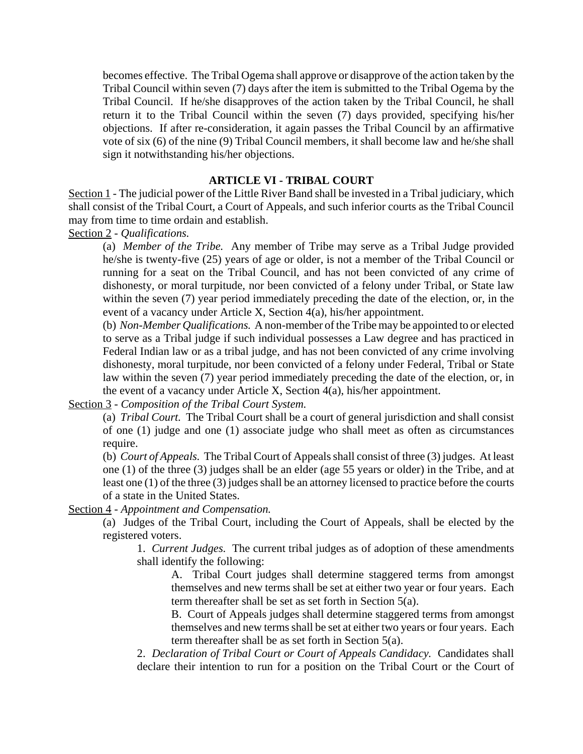becomes effective. The Tribal Ogema shall approve or disapprove of the action taken by the Tribal Council within seven (7) days after the item is submitted to the Tribal Ogema by the Tribal Council. If he/she disapproves of the action taken by the Tribal Council, he shall return it to the Tribal Council within the seven (7) days provided, specifying his/her objections. If after re-consideration, it again passes the Tribal Council by an affirmative vote of six (6) of the nine (9) Tribal Council members, it shall become law and he/she shall sign it notwithstanding his/her objections.

## **ARTICLE VI - TRIBAL COURT**

Section 1 - The judicial power of the Little River Band shall be invested in a Tribal judiciary, which shall consist of the Tribal Court, a Court of Appeals, and such inferior courts as the Tribal Council may from time to time ordain and establish.

Section 2 - *Qualifications.*

(a) *Member of the Tribe.* Any member of Tribe may serve as a Tribal Judge provided he/she is twenty-five (25) years of age or older, is not a member of the Tribal Council or running for a seat on the Tribal Council, and has not been convicted of any crime of dishonesty, or moral turpitude, nor been convicted of a felony under Tribal, or State law within the seven (7) year period immediately preceding the date of the election, or, in the event of a vacancy under Article X, Section 4(a), his/her appointment.

(b) *Non-Member Qualifications.* A non-member of the Tribe may be appointed to or elected to serve as a Tribal judge if such individual possesses a Law degree and has practiced in Federal Indian law or as a tribal judge, and has not been convicted of any crime involving dishonesty, moral turpitude, nor been convicted of a felony under Federal, Tribal or State law within the seven (7) year period immediately preceding the date of the election, or, in the event of a vacancy under Article X, Section 4(a), his/her appointment.

Section 3 - *Composition of the Tribal Court System.*

(a) *Tribal Court.* The Tribal Court shall be a court of general jurisdiction and shall consist of one (1) judge and one (1) associate judge who shall meet as often as circumstances require.

(b) *Court of Appeals.* The Tribal Court of Appeals shall consist of three (3) judges. At least one (1) of the three (3) judges shall be an elder (age 55 years or older) in the Tribe, and at least one (1) of the three (3) judges shall be an attorney licensed to practice before the courts of a state in the United States.

Section 4 - *Appointment and Compensation.*

(a) Judges of the Tribal Court, including the Court of Appeals, shall be elected by the registered voters.

1. *Current Judges.* The current tribal judges as of adoption of these amendments shall identify the following:

A. Tribal Court judges shall determine staggered terms from amongst themselves and new terms shall be set at either two year or four years. Each term thereafter shall be set as set forth in Section 5(a).

B. Court of Appeals judges shall determine staggered terms from amongst themselves and new terms shall be set at either two years or four years. Each term thereafter shall be as set forth in Section 5(a).

2. *Declaration of Tribal Court or Court of Appeals Candidacy.* Candidates shall declare their intention to run for a position on the Tribal Court or the Court of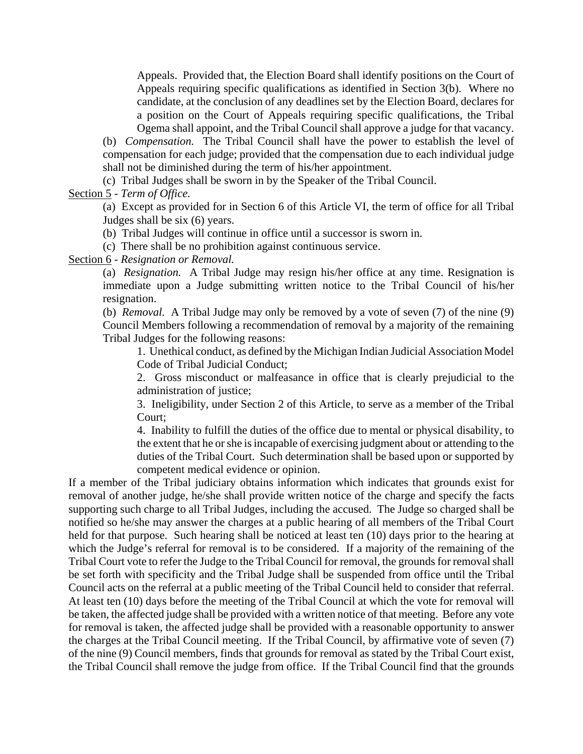Appeals. Provided that, the Election Board shall identify positions on the Court of Appeals requiring specific qualifications as identified in Section 3(b). Where no candidate, at the conclusion of any deadlines set by the Election Board, declares for a position on the Court of Appeals requiring specific qualifications, the Tribal Ogema shall appoint, and the Tribal Council shall approve a judge for that vacancy.

(b) *Compensation.* The Tribal Council shall have the power to establish the level of compensation for each judge; provided that the compensation due to each individual judge shall not be diminished during the term of his/her appointment.

(c) Tribal Judges shall be sworn in by the Speaker of the Tribal Council.

## Section 5 - *Term of Office.*

(a) Except as provided for in Section 6 of this Article VI, the term of office for all Tribal Judges shall be six (6) years.

(b) Tribal Judges will continue in office until a successor is sworn in.

(c) There shall be no prohibition against continuous service.

Section 6 - *Resignation or Removal.*

(a) *Resignation.* A Tribal Judge may resign his/her office at any time. Resignation is immediate upon a Judge submitting written notice to the Tribal Council of his/her resignation.

(b) *Removal.* A Tribal Judge may only be removed by a vote of seven (7) of the nine (9) Council Members following a recommendation of removal by a majority of the remaining Tribal Judges for the following reasons:

1. Unethical conduct, as defined by the Michigan Indian Judicial Association Model Code of Tribal Judicial Conduct;

2. Gross misconduct or malfeasance in office that is clearly prejudicial to the administration of justice;

3. Ineligibility, under Section 2 of this Article, to serve as a member of the Tribal Court;

4. Inability to fulfill the duties of the office due to mental or physical disability, to the extent that he or she is incapable of exercising judgment about or attending to the duties of the Tribal Court. Such determination shall be based upon or supported by competent medical evidence or opinion.

If a member of the Tribal judiciary obtains information which indicates that grounds exist for removal of another judge, he/she shall provide written notice of the charge and specify the facts supporting such charge to all Tribal Judges, including the accused. The Judge so charged shall be notified so he/she may answer the charges at a public hearing of all members of the Tribal Court held for that purpose. Such hearing shall be noticed at least ten (10) days prior to the hearing at which the Judge's referral for removal is to be considered. If a majority of the remaining of the Tribal Court vote to refer the Judge to the Tribal Council for removal, the grounds for removal shall be set forth with specificity and the Tribal Judge shall be suspended from office until the Tribal Council acts on the referral at a public meeting of the Tribal Council held to consider that referral. At least ten (10) days before the meeting of the Tribal Council at which the vote for removal will be taken, the affected judge shall be provided with a written notice of that meeting. Before any vote for removal is taken, the affected judge shall be provided with a reasonable opportunity to answer the charges at the Tribal Council meeting. If the Tribal Council, by affirmative vote of seven (7) of the nine (9) Council members, finds that grounds for removal as stated by the Tribal Court exist, the Tribal Council shall remove the judge from office. If the Tribal Council find that the grounds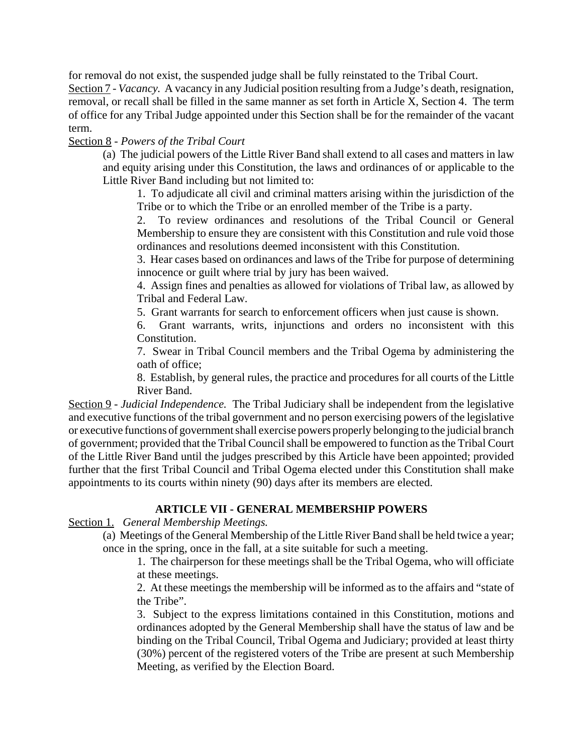for removal do not exist, the suspended judge shall be fully reinstated to the Tribal Court.

Section 7 - *Vacancy.* A vacancy in any Judicial position resulting from a Judge's death, resignation, removal, or recall shall be filled in the same manner as set forth in Article X, Section 4. The term of office for any Tribal Judge appointed under this Section shall be for the remainder of the vacant term.

## Section 8 - *Powers of the Tribal Court*

(a) The judicial powers of the Little River Band shall extend to all cases and matters in law and equity arising under this Constitution, the laws and ordinances of or applicable to the Little River Band including but not limited to:

1. To adjudicate all civil and criminal matters arising within the jurisdiction of the Tribe or to which the Tribe or an enrolled member of the Tribe is a party.

2. To review ordinances and resolutions of the Tribal Council or General Membership to ensure they are consistent with this Constitution and rule void those ordinances and resolutions deemed inconsistent with this Constitution.

3. Hear cases based on ordinances and laws of the Tribe for purpose of determining innocence or guilt where trial by jury has been waived.

4. Assign fines and penalties as allowed for violations of Tribal law, as allowed by Tribal and Federal Law.

5. Grant warrants for search to enforcement officers when just cause is shown.

6. Grant warrants, writs, injunctions and orders no inconsistent with this Constitution.

7. Swear in Tribal Council members and the Tribal Ogema by administering the oath of office;

8. Establish, by general rules, the practice and procedures for all courts of the Little River Band.

Section 9 - *Judicial Independence.* The Tribal Judiciary shall be independent from the legislative and executive functions of the tribal government and no person exercising powers of the legislative or executive functions of government shall exercise powers properly belonging to the judicial branch of government; provided that the Tribal Council shall be empowered to function as the Tribal Court of the Little River Band until the judges prescribed by this Article have been appointed; provided further that the first Tribal Council and Tribal Ogema elected under this Constitution shall make appointments to its courts within ninety (90) days after its members are elected.

## **ARTICLE VII - GENERAL MEMBERSHIP POWERS**

Section 1. *General Membership Meetings.*

(a) Meetings of the General Membership of the Little River Band shall be held twice a year; once in the spring, once in the fall, at a site suitable for such a meeting.

1. The chairperson for these meetings shall be the Tribal Ogema, who will officiate at these meetings.

2. At these meetings the membership will be informed as to the affairs and "state of the Tribe".

3. Subject to the express limitations contained in this Constitution, motions and ordinances adopted by the General Membership shall have the status of law and be binding on the Tribal Council, Tribal Ogema and Judiciary; provided at least thirty (30%) percent of the registered voters of the Tribe are present at such Membership Meeting, as verified by the Election Board.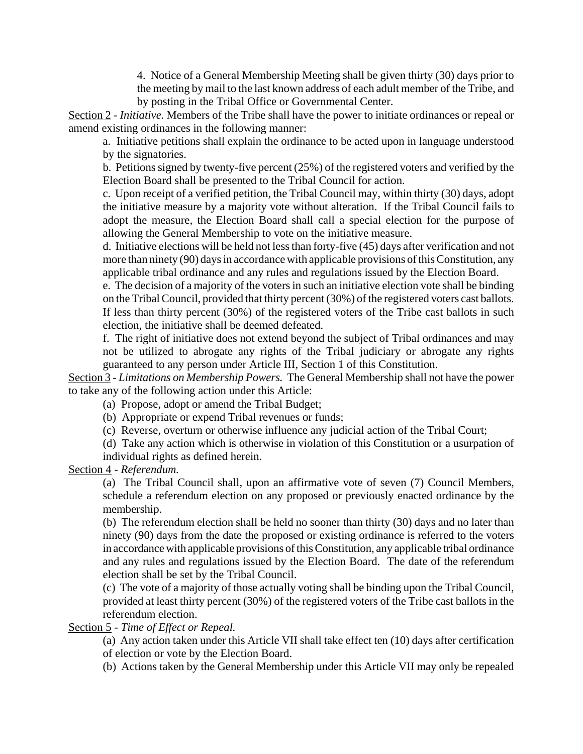4. Notice of a General Membership Meeting shall be given thirty (30) days prior to the meeting by mail to the last known address of each adult member of the Tribe, and by posting in the Tribal Office or Governmental Center.

Section 2 - *Initiative.* Members of the Tribe shall have the power to initiate ordinances or repeal or amend existing ordinances in the following manner:

a. Initiative petitions shall explain the ordinance to be acted upon in language understood by the signatories.

b. Petitions signed by twenty-five percent (25%) of the registered voters and verified by the Election Board shall be presented to the Tribal Council for action.

c. Upon receipt of a verified petition, the Tribal Council may, within thirty (30) days, adopt the initiative measure by a majority vote without alteration. If the Tribal Council fails to adopt the measure, the Election Board shall call a special election for the purpose of allowing the General Membership to vote on the initiative measure.

d. Initiative elections will be held not less than forty-five (45) days after verification and not more than ninety (90) days in accordance with applicable provisions of this Constitution, any applicable tribal ordinance and any rules and regulations issued by the Election Board.

e. The decision of a majority of the voters in such an initiative election vote shall be binding on the Tribal Council, provided that thirty percent (30%) of the registered voters cast ballots. If less than thirty percent (30%) of the registered voters of the Tribe cast ballots in such election, the initiative shall be deemed defeated.

f. The right of initiative does not extend beyond the subject of Tribal ordinances and may not be utilized to abrogate any rights of the Tribal judiciary or abrogate any rights guaranteed to any person under Article III, Section 1 of this Constitution.

Section 3 - *Limitations on Membership Powers.* The General Membership shall not have the power to take any of the following action under this Article:

(a) Propose, adopt or amend the Tribal Budget;

(b) Appropriate or expend Tribal revenues or funds;

(c) Reverse, overturn or otherwise influence any judicial action of the Tribal Court;

(d) Take any action which is otherwise in violation of this Constitution or a usurpation of

individual rights as defined herein.

Section 4 - *Referendum.*

(a) The Tribal Council shall, upon an affirmative vote of seven (7) Council Members, schedule a referendum election on any proposed or previously enacted ordinance by the membership.

(b) The referendum election shall be held no sooner than thirty (30) days and no later than ninety (90) days from the date the proposed or existing ordinance is referred to the voters in accordance with applicable provisions of this Constitution, any applicable tribal ordinance and any rules and regulations issued by the Election Board. The date of the referendum election shall be set by the Tribal Council.

(c) The vote of a majority of those actually voting shall be binding upon the Tribal Council, provided at least thirty percent (30%) of the registered voters of the Tribe cast ballots in the referendum election.

Section 5 - *Time of Effect or Repeal.*

(a) Any action taken under this Article VII shall take effect ten (10) days after certification of election or vote by the Election Board.

(b) Actions taken by the General Membership under this Article VII may only be repealed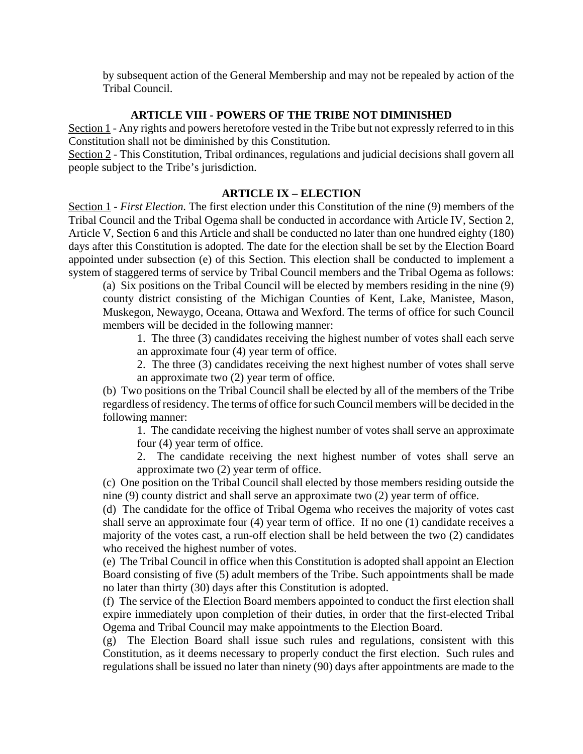by subsequent action of the General Membership and may not be repealed by action of the Tribal Council.

#### **ARTICLE VIII - POWERS OF THE TRIBE NOT DIMINISHED**

Section 1 - Any rights and powers heretofore vested in the Tribe but not expressly referred to in this Constitution shall not be diminished by this Constitution.

Section 2 - This Constitution, Tribal ordinances, regulations and judicial decisions shall govern all people subject to the Tribe's jurisdiction.

## **ARTICLE IX – ELECTION**

Section 1 - *First Election.* The first election under this Constitution of the nine (9) members of the Tribal Council and the Tribal Ogema shall be conducted in accordance with Article IV, Section 2, Article V, Section 6 and this Article and shall be conducted no later than one hundred eighty (180) days after this Constitution is adopted. The date for the election shall be set by the Election Board appointed under subsection (e) of this Section. This election shall be conducted to implement a system of staggered terms of service by Tribal Council members and the Tribal Ogema as follows:

(a) Six positions on the Tribal Council will be elected by members residing in the nine (9) county district consisting of the Michigan Counties of Kent, Lake, Manistee, Mason, Muskegon, Newaygo, Oceana, Ottawa and Wexford. The terms of office for such Council members will be decided in the following manner:

1. The three (3) candidates receiving the highest number of votes shall each serve an approximate four (4) year term of office.

2. The three (3) candidates receiving the next highest number of votes shall serve an approximate two (2) year term of office.

(b) Two positions on the Tribal Council shall be elected by all of the members of the Tribe regardless of residency. The terms of office for such Council members will be decided in the following manner:

1. The candidate receiving the highest number of votes shall serve an approximate four (4) year term of office.

2. The candidate receiving the next highest number of votes shall serve an approximate two (2) year term of office.

(c) One position on the Tribal Council shall elected by those members residing outside the nine (9) county district and shall serve an approximate two (2) year term of office.

(d) The candidate for the office of Tribal Ogema who receives the majority of votes cast shall serve an approximate four (4) year term of office. If no one (1) candidate receives a majority of the votes cast, a run-off election shall be held between the two (2) candidates who received the highest number of votes.

(e) The Tribal Council in office when this Constitution is adopted shall appoint an Election Board consisting of five (5) adult members of the Tribe. Such appointments shall be made no later than thirty (30) days after this Constitution is adopted.

(f) The service of the Election Board members appointed to conduct the first election shall expire immediately upon completion of their duties, in order that the first-elected Tribal Ogema and Tribal Council may make appointments to the Election Board.

(g) The Election Board shall issue such rules and regulations, consistent with this Constitution, as it deems necessary to properly conduct the first election. Such rules and regulations shall be issued no later than ninety (90) days after appointments are made to the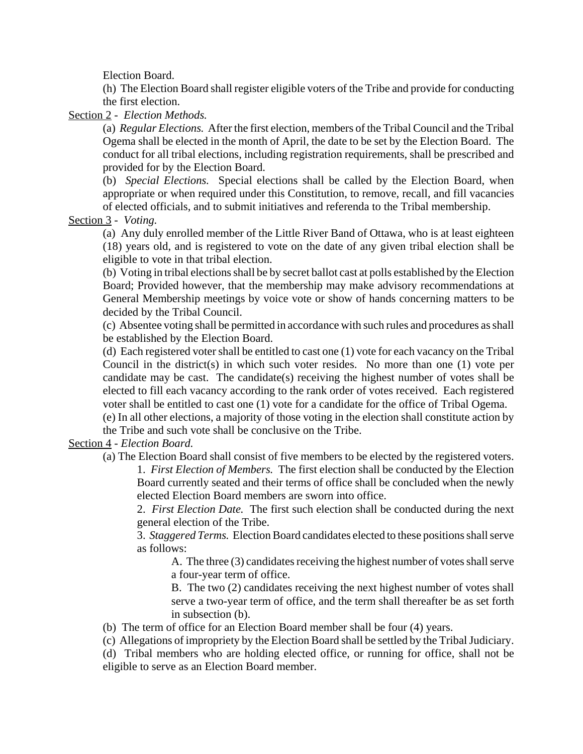Election Board.

(h) The Election Board shall register eligible voters of the Tribe and provide for conducting the first election.

Section 2 - *Election Methods.*

(a) *Regular Elections.* After the first election, members of the Tribal Council and the Tribal Ogema shall be elected in the month of April, the date to be set by the Election Board. The conduct for all tribal elections, including registration requirements, shall be prescribed and provided for by the Election Board.

(b) *Special Elections.* Special elections shall be called by the Election Board, when appropriate or when required under this Constitution, to remove, recall, and fill vacancies of elected officials, and to submit initiatives and referenda to the Tribal membership.

Section 3 - *Voting.*

(a) Any duly enrolled member of the Little River Band of Ottawa, who is at least eighteen (18) years old, and is registered to vote on the date of any given tribal election shall be eligible to vote in that tribal election.

(b) Voting in tribal elections shall be by secret ballot cast at polls established by the Election Board; Provided however, that the membership may make advisory recommendations at General Membership meetings by voice vote or show of hands concerning matters to be decided by the Tribal Council.

(c) Absentee voting shall be permitted in accordance with such rules and procedures as shall be established by the Election Board.

(d) Each registered voter shall be entitled to cast one (1) vote for each vacancy on the Tribal Council in the district(s) in which such voter resides. No more than one (1) vote per candidate may be cast. The candidate(s) receiving the highest number of votes shall be elected to fill each vacancy according to the rank order of votes received. Each registered voter shall be entitled to cast one (1) vote for a candidate for the office of Tribal Ogema.

(e) In all other elections, a majority of those voting in the election shall constitute action by the Tribe and such vote shall be conclusive on the Tribe.

Section 4 - *Election Board.*

(a) The Election Board shall consist of five members to be elected by the registered voters. 1. *First Election of Members.* The first election shall be conducted by the Election Board currently seated and their terms of office shall be concluded when the newly elected Election Board members are sworn into office.

2. *First Election Date.* The first such election shall be conducted during the next general election of the Tribe.

3. *Staggered Terms.* Election Board candidates elected to these positions shall serve as follows:

A. The three (3) candidates receiving the highest number of votes shall serve a four-year term of office.

B. The two (2) candidates receiving the next highest number of votes shall serve a two-year term of office, and the term shall thereafter be as set forth in subsection (b).

(b) The term of office for an Election Board member shall be four (4) years.

(c) Allegations of impropriety by the Election Board shall be settled by the Tribal Judiciary.

(d) Tribal members who are holding elected office, or running for office, shall not be eligible to serve as an Election Board member.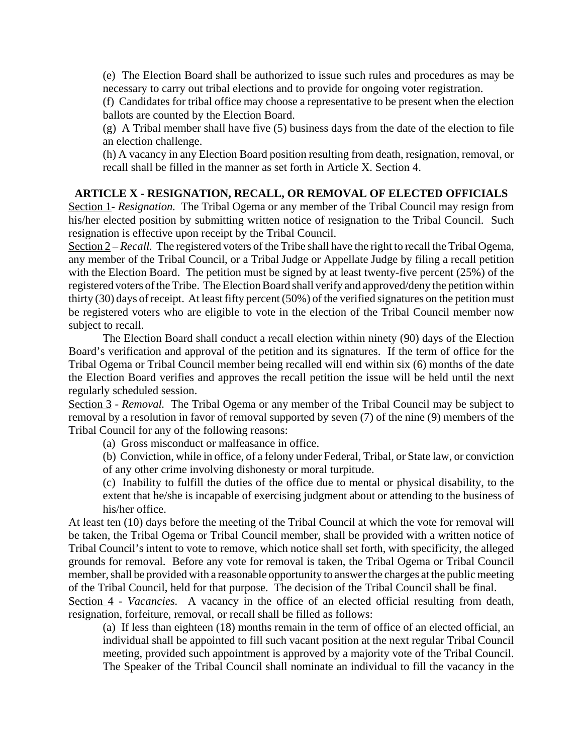(e) The Election Board shall be authorized to issue such rules and procedures as may be necessary to carry out tribal elections and to provide for ongoing voter registration.

(f) Candidates for tribal office may choose a representative to be present when the election ballots are counted by the Election Board.

(g) A Tribal member shall have five (5) business days from the date of the election to file an election challenge.

(h) A vacancy in any Election Board position resulting from death, resignation, removal, or recall shall be filled in the manner as set forth in Article X. Section 4.

## **ARTICLE X - RESIGNATION, RECALL, OR REMOVAL OF ELECTED OFFICIALS**

Section 1- *Resignation.* The Tribal Ogema or any member of the Tribal Council may resign from his/her elected position by submitting written notice of resignation to the Tribal Council. Such resignation is effective upon receipt by the Tribal Council.

Section 2 – *Recall.* The registered voters of the Tribe shall have the right to recall the Tribal Ogema, any member of the Tribal Council, or a Tribal Judge or Appellate Judge by filing a recall petition with the Election Board. The petition must be signed by at least twenty-five percent (25%) of the registered voters of the Tribe. The Election Board shall verify and approved/deny the petition within thirty (30) days of receipt. At least fifty percent (50%) of the verified signatures on the petition must be registered voters who are eligible to vote in the election of the Tribal Council member now subject to recall.

The Election Board shall conduct a recall election within ninety (90) days of the Election Board's verification and approval of the petition and its signatures. If the term of office for the Tribal Ogema or Tribal Council member being recalled will end within six (6) months of the date the Election Board verifies and approves the recall petition the issue will be held until the next regularly scheduled session.

Section 3 - *Removal.* The Tribal Ogema or any member of the Tribal Council may be subject to removal by a resolution in favor of removal supported by seven (7) of the nine (9) members of the Tribal Council for any of the following reasons:

(a) Gross misconduct or malfeasance in office.

(b) Conviction, while in office, of a felony under Federal, Tribal, or State law, or conviction of any other crime involving dishonesty or moral turpitude.

(c) Inability to fulfill the duties of the office due to mental or physical disability, to the extent that he/she is incapable of exercising judgment about or attending to the business of his/her office.

At least ten (10) days before the meeting of the Tribal Council at which the vote for removal will be taken, the Tribal Ogema or Tribal Council member, shall be provided with a written notice of Tribal Council's intent to vote to remove, which notice shall set forth, with specificity, the alleged grounds for removal. Before any vote for removal is taken, the Tribal Ogema or Tribal Council member, shall be provided with a reasonable opportunity to answer the charges at the public meeting of the Tribal Council, held for that purpose. The decision of the Tribal Council shall be final.

Section 4 - *Vacancies*. A vacancy in the office of an elected official resulting from death, resignation, forfeiture, removal, or recall shall be filled as follows:

(a) If less than eighteen (18) months remain in the term of office of an elected official, an individual shall be appointed to fill such vacant position at the next regular Tribal Council meeting, provided such appointment is approved by a majority vote of the Tribal Council. The Speaker of the Tribal Council shall nominate an individual to fill the vacancy in the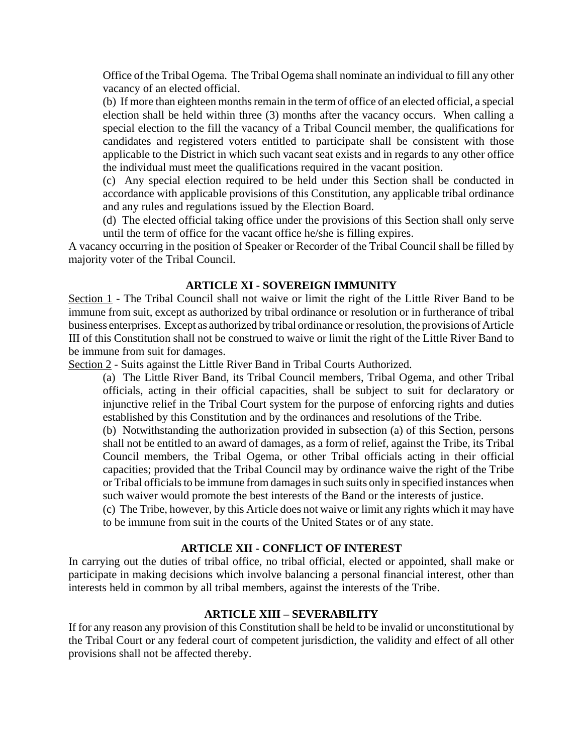Office of the Tribal Ogema. The Tribal Ogema shall nominate an individual to fill any other vacancy of an elected official.

(b) If more than eighteen months remain in the term of office of an elected official, a special election shall be held within three (3) months after the vacancy occurs. When calling a special election to the fill the vacancy of a Tribal Council member, the qualifications for candidates and registered voters entitled to participate shall be consistent with those applicable to the District in which such vacant seat exists and in regards to any other office the individual must meet the qualifications required in the vacant position.

(c) Any special election required to be held under this Section shall be conducted in accordance with applicable provisions of this Constitution, any applicable tribal ordinance and any rules and regulations issued by the Election Board.

(d) The elected official taking office under the provisions of this Section shall only serve until the term of office for the vacant office he/she is filling expires.

A vacancy occurring in the position of Speaker or Recorder of the Tribal Council shall be filled by majority voter of the Tribal Council.

## **ARTICLE XI - SOVEREIGN IMMUNITY**

Section 1 - The Tribal Council shall not waive or limit the right of the Little River Band to be immune from suit, except as authorized by tribal ordinance or resolution or in furtherance of tribal business enterprises. Except as authorized by tribal ordinance or resolution, the provisions of Article III of this Constitution shall not be construed to waive or limit the right of the Little River Band to be immune from suit for damages.

Section 2 - Suits against the Little River Band in Tribal Courts Authorized.

(a) The Little River Band, its Tribal Council members, Tribal Ogema, and other Tribal officials, acting in their official capacities, shall be subject to suit for declaratory or injunctive relief in the Tribal Court system for the purpose of enforcing rights and duties established by this Constitution and by the ordinances and resolutions of the Tribe.

(b) Notwithstanding the authorization provided in subsection (a) of this Section, persons shall not be entitled to an award of damages, as a form of relief, against the Tribe, its Tribal Council members, the Tribal Ogema, or other Tribal officials acting in their official capacities; provided that the Tribal Council may by ordinance waive the right of the Tribe or Tribal officials to be immune from damages in such suits only in specified instances when such waiver would promote the best interests of the Band or the interests of justice.

(c) The Tribe, however, by this Article does not waive or limit any rights which it may have to be immune from suit in the courts of the United States or of any state.

## **ARTICLE XII - CONFLICT OF INTEREST**

In carrying out the duties of tribal office, no tribal official, elected or appointed, shall make or participate in making decisions which involve balancing a personal financial interest, other than interests held in common by all tribal members, against the interests of the Tribe.

## **ARTICLE XIII – SEVERABILITY**

If for any reason any provision of this Constitution shall be held to be invalid or unconstitutional by the Tribal Court or any federal court of competent jurisdiction, the validity and effect of all other provisions shall not be affected thereby.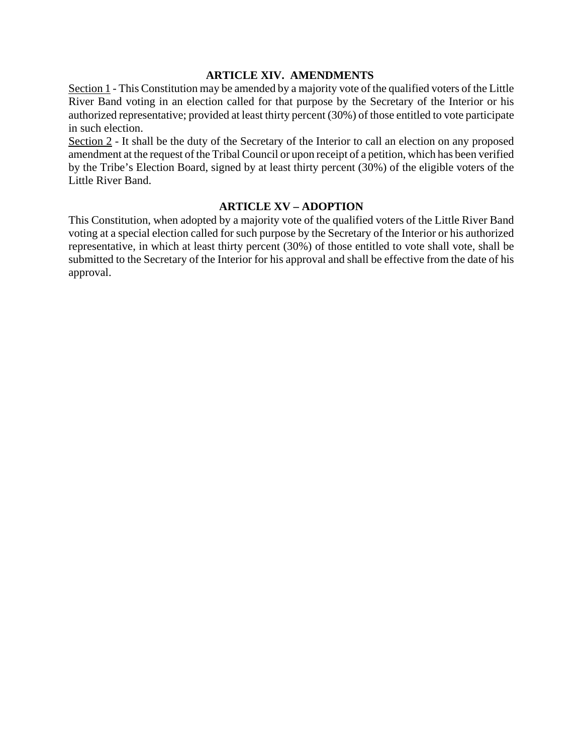## **ARTICLE XIV. AMENDMENTS**

Section 1 - This Constitution may be amended by a majority vote of the qualified voters of the Little River Band voting in an election called for that purpose by the Secretary of the Interior or his authorized representative; provided at least thirty percent (30%) of those entitled to vote participate in such election.

Section 2 - It shall be the duty of the Secretary of the Interior to call an election on any proposed amendment at the request of the Tribal Council or upon receipt of a petition, which has been verified by the Tribe's Election Board, signed by at least thirty percent (30%) of the eligible voters of the Little River Band.

## **ARTICLE XV – ADOPTION**

This Constitution, when adopted by a majority vote of the qualified voters of the Little River Band voting at a special election called for such purpose by the Secretary of the Interior or his authorized representative, in which at least thirty percent (30%) of those entitled to vote shall vote, shall be submitted to the Secretary of the Interior for his approval and shall be effective from the date of his approval.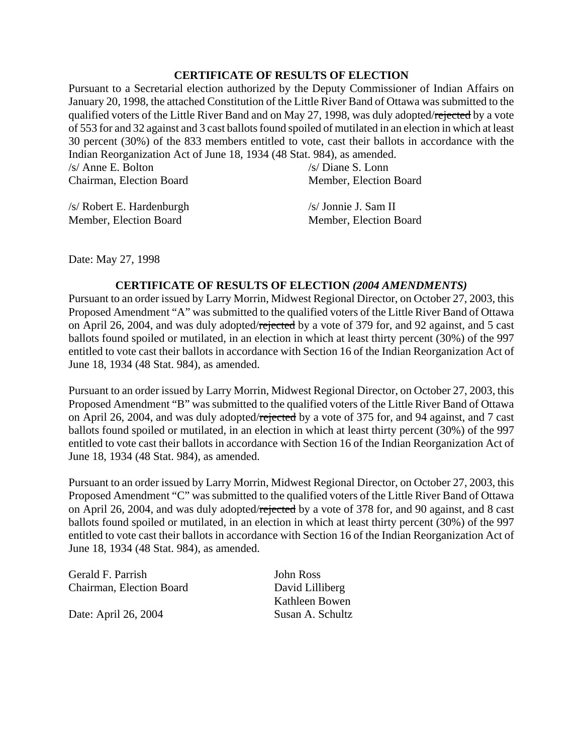## **CERTIFICATE OF RESULTS OF ELECTION**

Pursuant to a Secretarial election authorized by the Deputy Commissioner of Indian Affairs on January 20, 1998, the attached Constitution of the Little River Band of Ottawa was submitted to the qualified voters of the Little River Band and on May 27, 1998, was duly adopted/rejected by a vote of 553 for and 32 against and 3 cast ballots found spoiled of mutilated in an election in which at least 30 percent (30%) of the 833 members entitled to vote, cast their ballots in accordance with the Indian Reorganization Act of June 18, 1934 (48 Stat. 984), as amended.

| /s/ Anne E. Bolton       | /s/ Diane S. Lonn      |
|--------------------------|------------------------|
| Chairman, Election Board | Member, Election Board |
|                          |                        |

/s/ Robert E. Hardenburgh Member, Election Board

/s/ Jonnie J. Sam II Member, Election Board

Date: May 27, 1998

## **CERTIFICATE OF RESULTS OF ELECTION** *(2004 AMENDMENTS)*

Pursuant to an order issued by Larry Morrin, Midwest Regional Director, on October 27, 2003, this Proposed Amendment "A" was submitted to the qualified voters of the Little River Band of Ottawa on April 26, 2004, and was duly adopted/rejected by a vote of 379 for, and 92 against, and 5 cast ballots found spoiled or mutilated, in an election in which at least thirty percent (30%) of the 997 entitled to vote cast their ballots in accordance with Section 16 of the Indian Reorganization Act of June 18, 1934 (48 Stat. 984), as amended.

Pursuant to an order issued by Larry Morrin, Midwest Regional Director, on October 27, 2003, this Proposed Amendment "B" was submitted to the qualified voters of the Little River Band of Ottawa on April 26, 2004, and was duly adopted/rejected by a vote of 375 for, and 94 against, and 7 cast ballots found spoiled or mutilated, in an election in which at least thirty percent (30%) of the 997 entitled to vote cast their ballots in accordance with Section 16 of the Indian Reorganization Act of June 18, 1934 (48 Stat. 984), as amended.

Pursuant to an order issued by Larry Morrin, Midwest Regional Director, on October 27, 2003, this Proposed Amendment "C" was submitted to the qualified voters of the Little River Band of Ottawa on April 26, 2004, and was duly adopted/rejected by a vote of 378 for, and 90 against, and 8 cast ballots found spoiled or mutilated, in an election in which at least thirty percent (30%) of the 997 entitled to vote cast their ballots in accordance with Section 16 of the Indian Reorganization Act of June 18, 1934 (48 Stat. 984), as amended.

| Gerald F. Parrish        | John Ross        |
|--------------------------|------------------|
| Chairman, Election Board | David Lilliberg  |
|                          | Kathleen Bowen   |
| Date: April 26, 2004     | Susan A. Schultz |